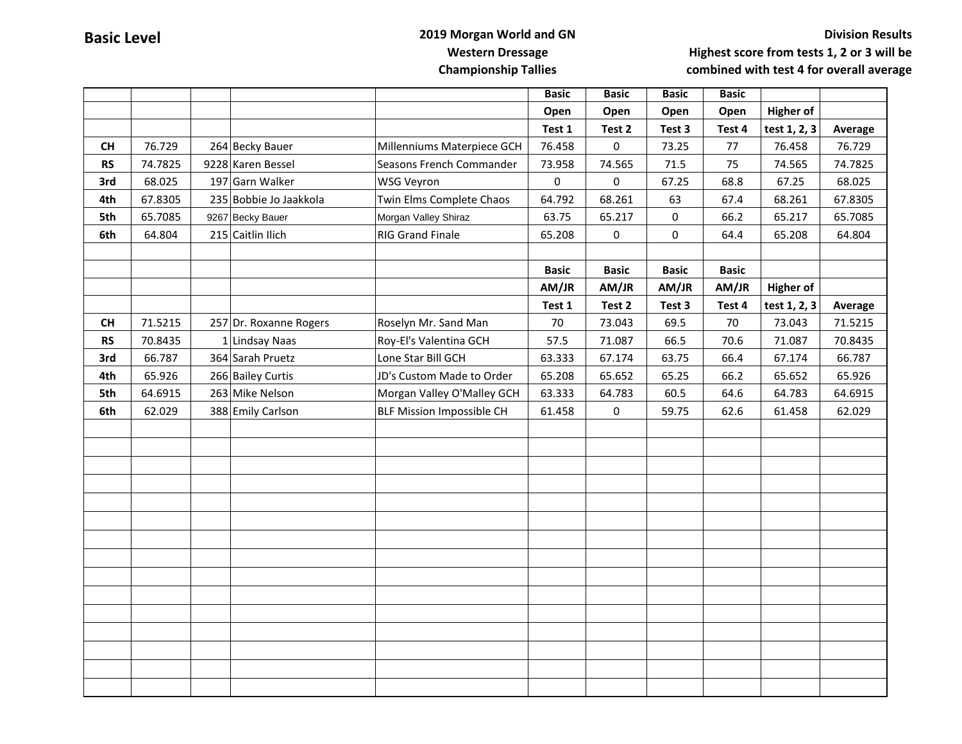## **Basic Level 2019 Morgan World and GN Western Dressage Championship Tallies**

## **Division Results Highest score from tests 1, 2 or 3 will be combined with test 4 for overall average**

|           |         |                        |                                  | <b>Basic</b> | <b>Basic</b>        | <b>Basic</b> | <b>Basic</b> |                  |         |
|-----------|---------|------------------------|----------------------------------|--------------|---------------------|--------------|--------------|------------------|---------|
|           |         |                        |                                  | Open         | Open                | Open         | Open         | <b>Higher of</b> |         |
|           |         |                        |                                  | Test 1       | Test 2              | Test 3       | Test 4       | test 1, 2, 3     | Average |
| CH        | 76.729  | 264 Becky Bauer        | Millenniums Materpiece GCH       | 76.458       | 0                   | 73.25        | 77           | 76.458           | 76.729  |
| <b>RS</b> | 74.7825 | 9228 Karen Bessel      | Seasons French Commander         | 73.958       | 74.565              | 71.5         | 75           | 74.565           | 74.7825 |
| 3rd       | 68.025  | 197 Garn Walker        | WSG Veyron                       | 0            | 0                   | 67.25        | 68.8         | 67.25            | 68.025  |
| 4th       | 67.8305 | 235 Bobbie Jo Jaakkola | Twin Elms Complete Chaos         | 64.792       | 68.261              | 63           | 67.4         | 68.261           | 67.8305 |
| 5th       | 65.7085 | 9267 Becky Bauer       | Morgan Valley Shiraz             | 63.75        | 65.217              | 0            | 66.2         | 65.217           | 65.7085 |
| 6th       | 64.804  | 215 Caitlin Ilich      | <b>RIG Grand Finale</b>          | 65.208       | $\mathsf{O}\xspace$ | 0            | 64.4         | 65.208           | 64.804  |
|           |         |                        |                                  |              |                     |              |              |                  |         |
|           |         |                        |                                  | <b>Basic</b> | <b>Basic</b>        | <b>Basic</b> | <b>Basic</b> |                  |         |
|           |         |                        |                                  | AM/JR        | AM/JR               | AM/JR        | AM/JR        | <b>Higher of</b> |         |
|           |         |                        |                                  | Test 1       | Test 2              | Test 3       | Test 4       | test 1, 2, 3     | Average |
| CH        | 71.5215 | 257 Dr. Roxanne Rogers | Roselyn Mr. Sand Man             | 70           | 73.043              | 69.5         | 70           | 73.043           | 71.5215 |
| <b>RS</b> | 70.8435 | 1 Lindsay Naas         | Roy-El's Valentina GCH           | 57.5         | 71.087              | 66.5         | 70.6         | 71.087           | 70.8435 |
| 3rd       | 66.787  | 364 Sarah Pruetz       | Lone Star Bill GCH               | 63.333       | 67.174              | 63.75        | 66.4         | 67.174           | 66.787  |
| 4th       | 65.926  | 266 Bailey Curtis      | JD's Custom Made to Order        | 65.208       | 65.652              | 65.25        | 66.2         | 65.652           | 65.926  |
| 5th       | 64.6915 | 263 Mike Nelson        | Morgan Valley O'Malley GCH       | 63.333       | 64.783              | 60.5         | 64.6         | 64.783           | 64.6915 |
| 6th       | 62.029  | 388 Emily Carlson      | <b>BLF Mission Impossible CH</b> | 61.458       | 0                   | 59.75        | 62.6         | 61.458           | 62.029  |
|           |         |                        |                                  |              |                     |              |              |                  |         |
|           |         |                        |                                  |              |                     |              |              |                  |         |
|           |         |                        |                                  |              |                     |              |              |                  |         |
|           |         |                        |                                  |              |                     |              |              |                  |         |
|           |         |                        |                                  |              |                     |              |              |                  |         |
|           |         |                        |                                  |              |                     |              |              |                  |         |
|           |         |                        |                                  |              |                     |              |              |                  |         |
|           |         |                        |                                  |              |                     |              |              |                  |         |
|           |         |                        |                                  |              |                     |              |              |                  |         |
|           |         |                        |                                  |              |                     |              |              |                  |         |
|           |         |                        |                                  |              |                     |              |              |                  |         |
|           |         |                        |                                  |              |                     |              |              |                  |         |
|           |         |                        |                                  |              |                     |              |              |                  |         |
|           |         |                        |                                  |              |                     |              |              |                  |         |
|           |         |                        |                                  |              |                     |              |              |                  |         |
|           |         |                        |                                  |              |                     |              |              |                  |         |